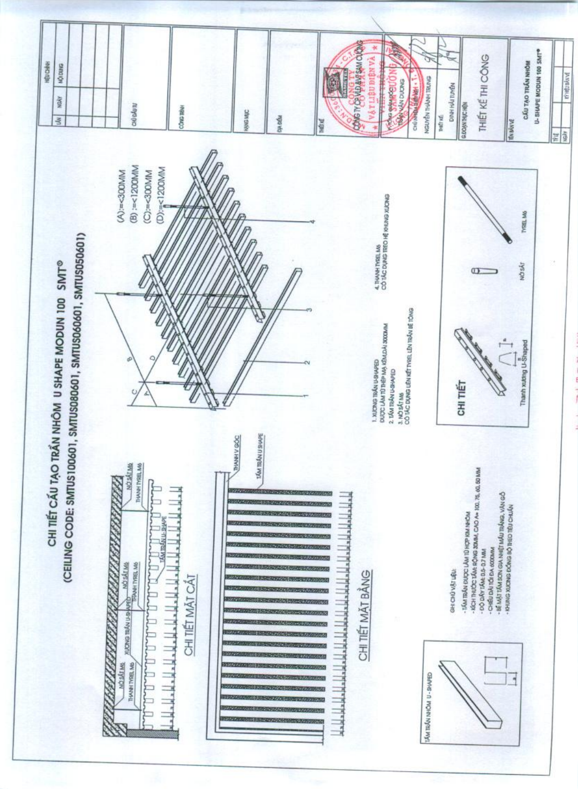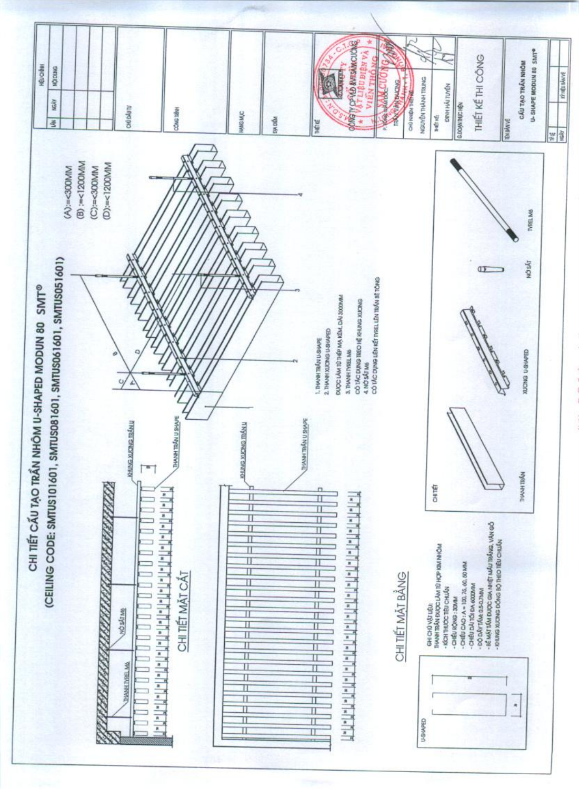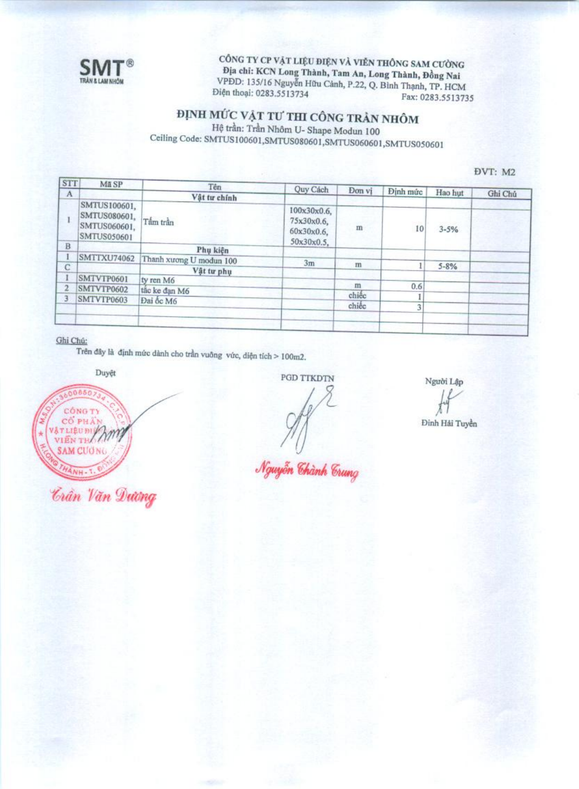

CÔNG TY CP VẬT LIỆU ĐIỆN VÀ VIỄN THÔNG SAM CƯỜNG Địa chỉ: KCN Long Thành, Tam An, Long Thành, Đồng Nai VPDD: 135/16 Nguyễn Hữu Cảnh, P.22, Q. Bình Thạnh, TP. HCM Điện thoại: 0283.5513734 Fax: 0283.5513735

## ĐỊNH MỨC VẬT TƯ THI CÔNG TRẢN NHÔM

Hệ trần: Trần Nhôm U- Shape Modun 100 Ceiling Code: SMTUS100601,SMTUS080601,SMTUS060601,SMTUS050601

DVT: M2

| <b>STT</b> | Mã SP                                                       | Tên                     | Quy Cách                                              | Don vi     |          |          |         |
|------------|-------------------------------------------------------------|-------------------------|-------------------------------------------------------|------------|----------|----------|---------|
| A          |                                                             | Vật tư chính            |                                                       |            | Dinh mức | Hao hut  | Ghi Chú |
|            | SMTUS100601,<br>SMTUS080601,<br>SMTUS060601,<br>SMTUS050601 | Tấm trần                | 100x30x0.6,<br>75x30x0.6,<br>60x30x0.6,<br>50x30x0.5, | m          | 10       | $3 - 5%$ |         |
| B.         |                                                             | Phụ kiện                |                                                       |            |          |          |         |
|            | <b>SMTTXU74062</b>                                          | Thanh xuong U modun 100 | 3m                                                    |            |          |          |         |
| C          |                                                             | Vật tư phụ              |                                                       | $^{\rm m}$ |          | $5 - 8%$ |         |
|            | SMTVTP0601                                                  | ty ren M6               |                                                       |            |          |          |         |
|            | SMTVTP0602                                                  | tắc ke đạn M6           |                                                       | m          | 0.6      |          |         |
|            | SMTVTP0603                                                  | Dai ốc M6               |                                                       | chiếc      |          |          |         |
|            |                                                             |                         |                                                       | chiêc      |          |          |         |
|            |                                                             |                         |                                                       |            |          |          |         |
|            |                                                             |                         |                                                       |            |          |          |         |

Ghi Chú:

Trên đây là định mức dành cho trần vuông vức, diện tích > 100m2.

Duyệt



*Crân Văn Dương* 

**PGD TTKDTN** 

Người Lâp

Đinh Hải Tuyền

Nguyễn Chành Crung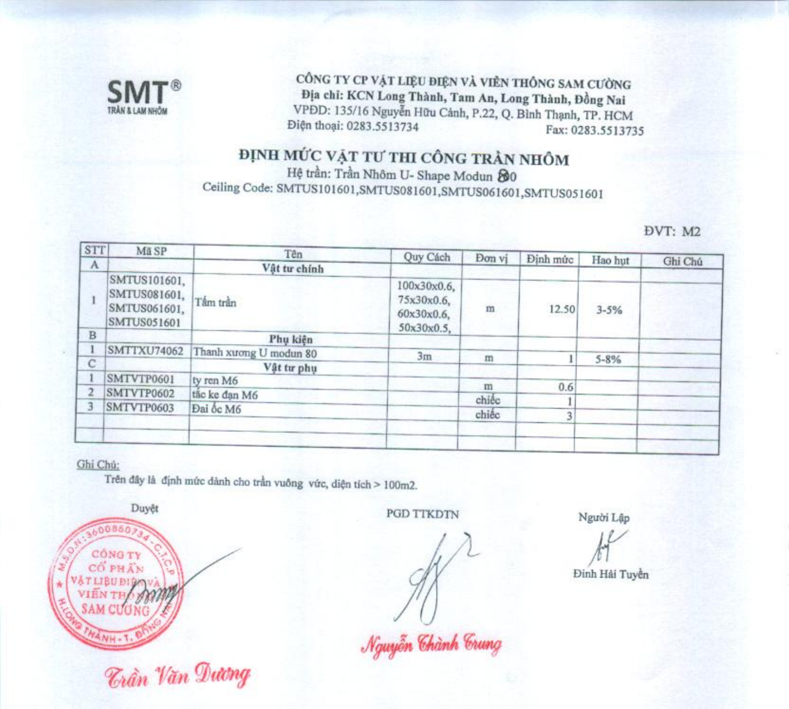

CÔNG TY CP VẬT LIỆU ĐIỆN VÀ VIỀN THỐNG SAM CƯỜNG Địa chỉ: KCN Long Thành, Tam An, Long Thành, Đồng Nai VPĐD: 135/16 Nguyễn Hữu Cảnh, P.22, Q. Bình Thạnh, TP. HCM Điện thoại: 0283.5513734 Fax: 0283.5513735

## ĐỊNH MỨC VẬT TƯ THI CÔNG TRẦN NHÔM

Hệ trần: Trần Nhôm U- Shape Modun 20 Ceiling Code: SMTUS101601,SMTUS081601,SMTUS061601,SMTUS051601

DVT: M2

| <b>STT</b> | Mã SP                                                       | Tên                    | Quy Cách                                              | Don vi | Định mức | Hao hut  |         |
|------------|-------------------------------------------------------------|------------------------|-------------------------------------------------------|--------|----------|----------|---------|
| A          |                                                             | Vật tư chính           |                                                       |        |          |          | Ghi Chú |
|            | SMTUS101601,<br>SMTUS081601,<br>SMTUS061601,<br>SMTUS051601 | Tấm trần               | 100x30x0.6,<br>75x30x0.6,<br>60x30x0.6,<br>50x30x0.5, | m      | 12.50    | $3 - 5%$ |         |
| B          |                                                             | Phu kiên               |                                                       |        |          |          |         |
|            | <b>SMTTXU74062</b>                                          | Thanh xương U modun 80 | 3m                                                    | m      |          |          |         |
|            |                                                             | Vật tư phụ             |                                                       |        |          | $5 - 8%$ |         |
|            | SMTVTP0601                                                  | ty ren M6              |                                                       | m      |          |          |         |
|            | SMTVTP0602                                                  | tão ke dan M6          |                                                       |        | 0.6      |          |         |
|            | SMTVTP0603                                                  | Đai ốc M6              |                                                       | chiếc  |          |          |         |
|            |                                                             |                        |                                                       | chiếc  |          |          |         |
|            |                                                             |                        |                                                       |        |          |          |         |
|            |                                                             |                        |                                                       |        |          |          |         |

#### Ghi Chú:

Trên đây là định mức dành cho trần vuông vức, diện tích > 100m2.



*Trần Văn Dương* 

**PGD TTKDTN** 

Người Lập

Đinh Hải Tuyền

Nguyễn Chành Crung